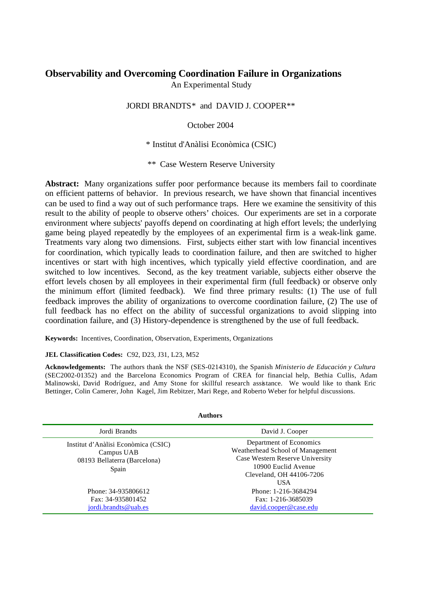# **Observability and Overcoming Coordination Failure in Organizations**

An Experimental Study

JORDI BRANDTS\* and DAVID J. COOPER\*\*

October 2004

\* Institut d'Anàlisi Econòmica (CSIC)

\*\* Case Western Reserve University

**Abstract:** Many organizations suffer poor performance because its members fail to coordinate on efficient patterns of behavior. In previous research, we have shown that financial incentives can be used to find a way out of such performance traps. Here we examine the sensitivity of this result to the ability of people to observe others' choices. Our experiments are set in a corporate environment where subjects' payoffs depend on coordinating at high effort levels; the underlying game being played repeatedly by the employees of an experimental firm is a weak-link game. Treatments vary along two dimensions. First, subjects either start with low financial incentives for coordination, which typically leads to coordination failure, and then are switched to higher incentives or start with high incentives, which typically yield effective coordination, and are switched to low incentives. Second, as the key treatment variable, subjects either observe the effort levels chosen by all employees in their experimental firm (full feedback) or observe only the minimum effort (limited feedback). We find three primary results: (1) The use of full feedback improves the ability of organizations to overcome coordination failure, (2) The use of full feedback has no effect on the ability of successful organizations to avoid slipping into coordination failure, and (3) History-dependence is strengthened by the use of full feedback.

**Keywords:** Incentives, Coordination, Observation, Experiments, Organizations

# **JEL Classification Codes:** C92, D23, J31, L23, M52

**Acknowledgements:** The authors thank the NSF (SES-0214310), the Spanish *Ministerio de Educación y Cultura* (SEC2002-01352) and the Barcelona Economics Program of CREA for financial help, Bethia Cullis, Adam Malinowski, David Rodríguez, and Amy Stone for skillful research assistance. We would like to thank Eric Bettinger, Colin Camerer, John Kagel, Jim Rebitzer, Mari Rege, and Roberto Weber for helpful discussions.

| <b>Authors</b>                                                                             |                                                                                                                                                                 |  |  |  |  |
|--------------------------------------------------------------------------------------------|-----------------------------------------------------------------------------------------------------------------------------------------------------------------|--|--|--|--|
| Jordi Brandts                                                                              | David J. Cooper                                                                                                                                                 |  |  |  |  |
| Institut d'Anàlisi Econòmica (CSIC)<br>Campus UAB<br>08193 Bellaterra (Barcelona)<br>Spain | Department of Economics<br>Weatherhead School of Management<br>Case Western Reserve University<br>10900 Euclid Avenue<br>Cleveland, OH 44106-7206<br><b>USA</b> |  |  |  |  |
| Phone: 34-935806612<br>Fax: 34-935801452<br>jordi.brandts@uab.es                           | Phone: 1-216-3684294<br>Fax: 1-216-3685039<br>david.cooper@case.edu                                                                                             |  |  |  |  |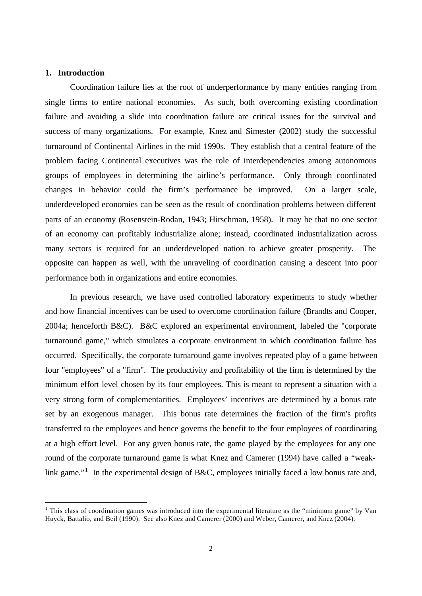# **1. Introduction**

l

Coordination failure lies at the root of underperformance by many entities ranging from single firms to entire national economies. As such, both overcoming existing coordination failure and avoiding a slide into coordination failure are critical issues for the survival and success of many organizations. For example, Knez and Simester (2002) study the successful turnaround of Continental Airlines in the mid 1990s. They establish that a central feature of the problem facing Continental executives was the role of interdependencies among autonomous groups of employees in determining the airline's performance. Only through coordinated changes in behavior could the firm's performance be improved. On a larger scale, underdeveloped economies can be seen as the result of coordination problems between different parts of an economy (Rosenstein-Rodan, 1943; Hirschman, 1958). It may be that no one sector of an economy can profitably industrialize alone; instead, coordinated industrialization across many sectors is required for an underdeveloped nation to achieve greater prosperity. The opposite can happen as well, with the unraveling of coordination causing a descent into poor performance both in organizations and entire economies.

In previous research, we have used controlled laboratory experiments to study whether and how financial incentives can be used to overcome coordination failure (Brandts and Cooper, 2004a; henceforth B&C). B&C explored an experimental environment, labeled the "corporate turnaround game," which simulates a corporate environment in which coordination failure has occurred. Specifically, the corporate turnaround game involves repeated play of a game between four "employees" of a "firm". The productivity and profitability of the firm is determined by the minimum effort level chosen by its four employees. This is meant to represent a situation with a very strong form of complementarities. Employees' incentives are determined by a bonus rate set by an exogenous manager. This bonus rate determines the fraction of the firm's profits transferred to the employees and hence governs the benefit to the four employees of coordinating at a high effort level. For any given bonus rate, the game played by the employees for any one round of the corporate turnaround game is what Knez and Camerer (1994) have called a "weaklink game."<sup>1</sup> In the experimental design of B&C, employees initially faced a low bonus rate and,

<sup>&</sup>lt;sup>1</sup> This class of coordination games was introduced into the experimental literature as the "minimum game" by Van Huyck, Battalio, and Beil (1990). See also Knez and Camerer (2000) and Weber, Camerer, and Knez (2004).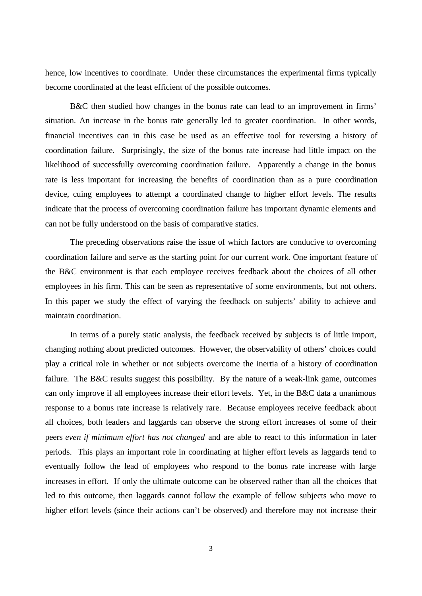hence, low incentives to coordinate. Under these circumstances the experimental firms typically become coordinated at the least efficient of the possible outcomes.

B&C then studied how changes in the bonus rate can lead to an improvement in firms' situation. An increase in the bonus rate generally led to greater coordination. In other words, financial incentives can in this case be used as an effective tool for reversing a history of coordination failure. Surprisingly, the size of the bonus rate increase had little impact on the likelihood of successfully overcoming coordination failure. Apparently a change in the bonus rate is less important for increasing the benefits of coordination than as a pure coordination device, cuing employees to attempt a coordinated change to higher effort levels. The results indicate that the process of overcoming coordination failure has important dynamic elements and can not be fully understood on the basis of comparative statics.

The preceding observations raise the issue of which factors are conducive to overcoming coordination failure and serve as the starting point for our current work. One important feature of the B&C environment is that each employee receives feedback about the choices of all other employees in his firm. This can be seen as representative of some environments, but not others. In this paper we study the effect of varying the feedback on subjects' ability to achieve and maintain coordination.

In terms of a purely static analysis, the feedback received by subjects is of little import, changing nothing about predicted outcomes. However, the observability of others' choices could play a critical role in whether or not subjects overcome the inertia of a history of coordination failure. The B&C results suggest this possibility. By the nature of a weak-link game, outcomes can only improve if all employees increase their effort levels. Yet, in the B&C data a unanimous response to a bonus rate increase is relatively rare. Because employees receive feedback about all choices, both leaders and laggards can observe the strong effort increases of some of their peers *even if minimum effort has not changed* and are able to react to this information in later periods. This plays an important role in coordinating at higher effort levels as laggards tend to eventually follow the lead of employees who respond to the bonus rate increase with large increases in effort. If only the ultimate outcome can be observed rather than all the choices that led to this outcome, then laggards cannot follow the example of fellow subjects who move to higher effort levels (since their actions can't be observed) and therefore may not increase their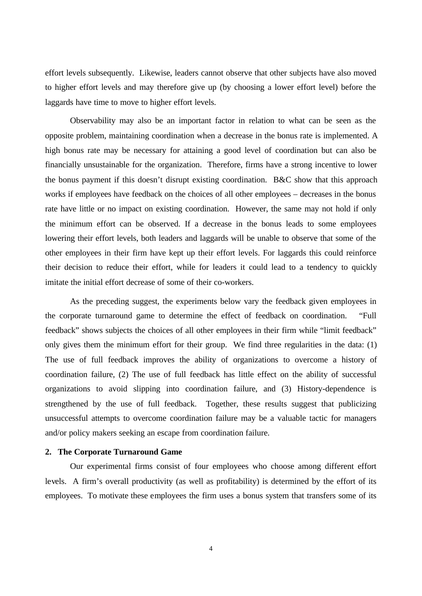effort levels subsequently. Likewise, leaders cannot observe that other subjects have also moved to higher effort levels and may therefore give up (by choosing a lower effort level) before the laggards have time to move to higher effort levels.

Observability may also be an important factor in relation to what can be seen as the opposite problem, maintaining coordination when a decrease in the bonus rate is implemented. A high bonus rate may be necessary for attaining a good level of coordination but can also be financially unsustainable for the organization. Therefore, firms have a strong incentive to lower the bonus payment if this doesn't disrupt existing coordination. B&C show that this approach works if employees have feedback on the choices of all other employees – decreases in the bonus rate have little or no impact on existing coordination. However, the same may not hold if only the minimum effort can be observed. If a decrease in the bonus leads to some employees lowering their effort levels, both leaders and laggards will be unable to observe that some of the other employees in their firm have kept up their effort levels. For laggards this could reinforce their decision to reduce their effort, while for leaders it could lead to a tendency to quickly imitate the initial effort decrease of some of their co-workers.

As the preceding suggest, the experiments below vary the feedback given employees in the corporate turnaround game to determine the effect of feedback on coordination. "Full feedback" shows subjects the choices of all other employees in their firm while "limit feedback" only gives them the minimum effort for their group. We find three regularities in the data: (1) The use of full feedback improves the ability of organizations to overcome a history of coordination failure, (2) The use of full feedback has little effect on the ability of successful organizations to avoid slipping into coordination failure, and (3) History-dependence is strengthened by the use of full feedback. Together, these results suggest that publicizing unsuccessful attempts to overcome coordination failure may be a valuable tactic for managers and/or policy makers seeking an escape from coordination failure.

## **2. The Corporate Turnaround Game**

Our experimental firms consist of four employees who choose among different effort levels. A firm's overall productivity (as well as profitability) is determined by the effort of its employees. To motivate these employees the firm uses a bonus system that transfers some of its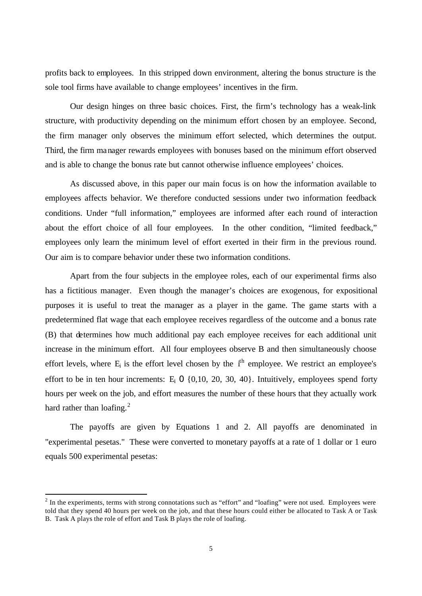profits back to employees. In this stripped down environment, altering the bonus structure is the sole tool firms have available to change employees' incentives in the firm.

Our design hinges on three basic choices. First, the firm's technology has a weak-link structure, with productivity depending on the minimum effort chosen by an employee. Second, the firm manager only observes the minimum effort selected, which determines the output. Third, the firm manager rewards employees with bonuses based on the minimum effort observed and is able to change the bonus rate but cannot otherwise influence employees' choices.

As discussed above, in this paper our main focus is on how the information available to employees affects behavior. We therefore conducted sessions under two information feedback conditions. Under "full information," employees are informed after each round of interaction about the effort choice of all four employees. In the other condition, "limited feedback," employees only learn the minimum level of effort exerted in their firm in the previous round. Our aim is to compare behavior under these two information conditions.

Apart from the four subjects in the employee roles, each of our experimental firms also has a fictitious manager. Even though the manager's choices are exogenous, for expositional purposes it is useful to treat the manager as a player in the game. The game starts with a predetermined flat wage that each employee receives regardless of the outcome and a bonus rate (B) that determines how much additional pay each employee receives for each additional unit increase in the minimum effort. All four employees observe B and then simultaneously choose effort levels, where  $E_i$  is the effort level chosen by the  $i^{\text{th}}$  employee. We restrict an employee's effort to be in ten hour increments:  $E_i$  0 {0,10, 20, 30, 40}. Intuitively, employees spend forty hours per week on the job, and effort measures the number of these hours that they actually work hard rather than loafing. $^{2}$ 

The payoffs are given by Equations 1 and 2. All payoffs are denominated in "experimental pesetas." These were converted to monetary payoffs at a rate of 1 dollar or 1 euro equals 500 experimental pesetas:

 $2$  In the experiments, terms with strong connotations such as "effort" and "loafing" were not used. Employees were told that they spend 40 hours per week on the job, and that these hours could either be allocated to Task A or Task B. Task A plays the role of effort and Task B plays the role of loafing.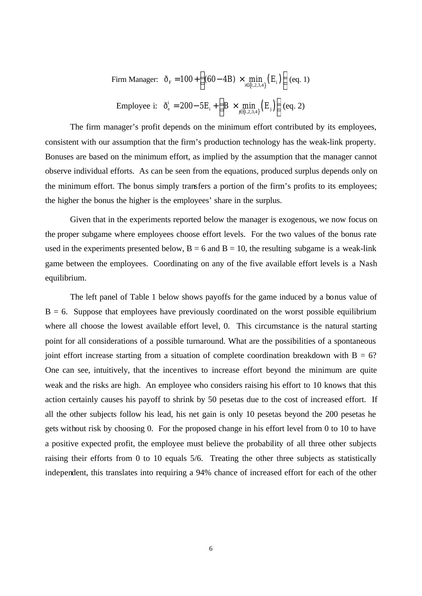Firm Manager: 
$$
\tilde{\sigma}_{F} = 100 + \left( (60 - 4B) \times \min_{i \in \{1, 2, 3, 4\}} (E_{i}) \right) (eq. 1)
$$
  
Employee i:  $\tilde{\sigma}_{e}^{i} = 200 - 5E_{i} + \left( B \times \min_{j \in \{1, 2, 3, 4\}} (E_{j}) \right) (eq. 2)$ 

The firm manager's profit depends on the minimum effort contributed by its employees, consistent with our assumption that the firm's production technology has the weak-link property. Bonuses are based on the minimum effort, as implied by the assumption that the manager cannot observe individual efforts. As can be seen from the equations, produced surplus depends only on the minimum effort. The bonus simply transfers a portion of the firm's profits to its employees; the higher the bonus the higher is the employees' share in the surplus.

Given that in the experiments reported below the manager is exogenous, we now focus on the proper subgame where employees choose effort levels. For the two values of the bonus rate used in the experiments presented below,  $B = 6$  and  $B = 10$ , the resulting subgame is a weak-link game between the employees. Coordinating on any of the five available effort levels is a Nash equilibrium.

The left panel of Table 1 below shows payoffs for the game induced by a bonus value of  $B = 6$ . Suppose that employees have previously coordinated on the worst possible equilibrium where all choose the lowest available effort level, 0. This circumstance is the natural starting point for all considerations of a possible turnaround. What are the possibilities of a spontaneous joint effort increase starting from a situation of complete coordination breakdown with  $B = 6$ ? One can see, intuitively, that the incentives to increase effort beyond the minimum are quite weak and the risks are high. An employee who considers raising his effort to 10 knows that this action certainly causes his payoff to shrink by 50 pesetas due to the cost of increased effort. If all the other subjects follow his lead, his net gain is only 10 pesetas beyond the 200 pesetas he gets without risk by choosing 0. For the proposed change in his effort level from 0 to 10 to have a positive expected profit, the employee must believe the probability of all three other subjects raising their efforts from 0 to 10 equals 5/6. Treating the other three subjects as statistically independent, this translates into requiring a 94% chance of increased effort for each of the other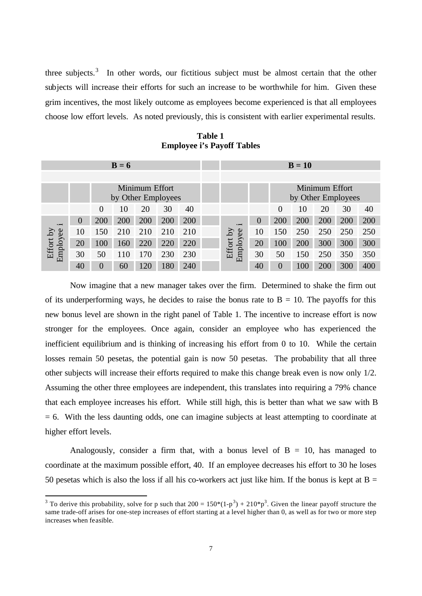three subjects.<sup>3</sup> In other words, our fictitious subject must be almost certain that the other subjects will increase their efforts for such an increase to be worthwhile for him. Given these grim incentives, the most likely outcome as employees become experienced is that all employees choose low effort levels. As noted previously, this is consistent with earlier experimental results.

**Table 1 Employee i's Payoff Tables**

| $B = 6$                              |                |          |     |     |     |     |                      | $B=10$                               |          |     |     |     |     |
|--------------------------------------|----------------|----------|-----|-----|-----|-----|----------------------|--------------------------------------|----------|-----|-----|-----|-----|
|                                      |                |          |     |     |     |     |                      |                                      |          |     |     |     |     |
| Minimum Effort<br>by Other Employees |                |          |     |     |     |     |                      | Minimum Effort<br>by Other Employees |          |     |     |     |     |
|                                      |                | $\theta$ | 10  | 20  | 30  | 40  |                      |                                      | $\theta$ | 10  | 20  | 30  | 40  |
| $\cdot$ $-$                          | $\overline{0}$ | 200      | 200 | 200 | 200 | 200 | $\cdot$ $-$          | $\Omega$                             | 200      | 200 | 200 | 200 | 200 |
|                                      | 10             | 150      | 210 | 210 | 210 | 210 | λÁ                   | 10                                   | 150      | 250 | 250 | 250 | 250 |
|                                      | 20             | 100      | 160 | 220 | 220 | 220 |                      | 20                                   | 100      | 200 | 300 | 300 | 300 |
| Effort by<br>Employee                | 30             | 50       | 110 | 170 | 230 | 230 | Employee<br>Effort 1 | 30                                   | 50       | 150 | 250 | 350 | 350 |
|                                      | 40             | 0        | 60  | 120 | 180 | 240 |                      | 40                                   | $\theta$ | 100 | 200 | 300 | 400 |

Now imagine that a new manager takes over the firm. Determined to shake the firm out of its underperforming ways, he decides to raise the bonus rate to  $B = 10$ . The payoffs for this new bonus level are shown in the right panel of Table 1. The incentive to increase effort is now stronger for the employees. Once again, consider an employee who has experienced the inefficient equilibrium and is thinking of increasing his effort from 0 to 10. While the certain losses remain 50 pesetas, the potential gain is now 50 pesetas. The probability that all three other subjects will increase their efforts required to make this change break even is now only 1/2. Assuming the other three employees are independent, this translates into requiring a 79% chance that each employee increases his effort. While still high, this is better than what we saw with B = 6. With the less daunting odds, one can imagine subjects at least attempting to coordinate at higher effort levels.

Analogously, consider a firm that, with a bonus level of  $B = 10$ , has managed to coordinate at the maximum possible effort, 40. If an employee decreases his effort to 30 he loses 50 pesetas which is also the loss if all his co-workers act just like him. If the bonus is kept at  $B =$ 

<sup>&</sup>lt;sup>3</sup> To derive this probability, solve for p such that  $200 = 150*(1-p^3) + 210*p^3$ . Given the linear payoff structure the same trade-off arises for one-step increases of effort starting at a level higher than 0, as well as for two or more step increases when feasible.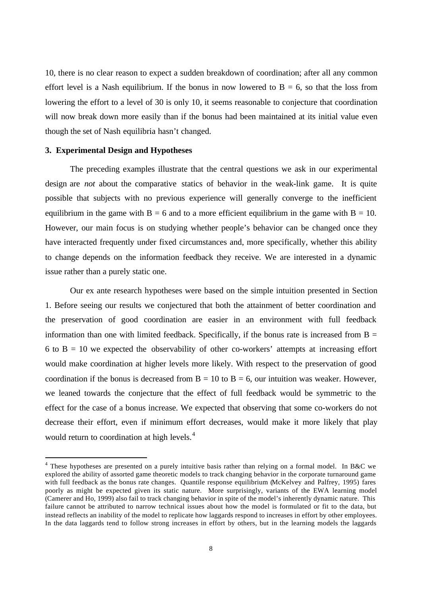10, there is no clear reason to expect a sudden breakdown of coordination; after all any common effort level is a Nash equilibrium. If the bonus in now lowered to  $B = 6$ , so that the loss from lowering the effort to a level of 30 is only 10, it seems reasonable to conjecture that coordination will now break down more easily than if the bonus had been maintained at its initial value even though the set of Nash equilibria hasn't changed.

# **3. Experimental Design and Hypotheses**

l

The preceding examples illustrate that the central questions we ask in our experimental design are *not* about the comparative statics of behavior in the weak-link game. It is quite possible that subjects with no previous experience will generally converge to the inefficient equilibrium in the game with  $B = 6$  and to a more efficient equilibrium in the game with  $B = 10$ . However, our main focus is on studying whether people's behavior can be changed once they have interacted frequently under fixed circumstances and, more specifically, whether this ability to change depends on the information feedback they receive. We are interested in a dynamic issue rather than a purely static one.

Our ex ante research hypotheses were based on the simple intuition presented in Section 1. Before seeing our results we conjectured that both the attainment of better coordination and the preservation of good coordination are easier in an environment with full feedback information than one with limited feedback. Specifically, if the bonus rate is increased from  $B =$ 6 to  $B = 10$  we expected the observability of other co-workers' attempts at increasing effort would make coordination at higher levels more likely. With respect to the preservation of good coordination if the bonus is decreased from  $B = 10$  to  $B = 6$ , our intuition was weaker. However, we leaned towards the conjecture that the effect of full feedback would be symmetric to the effect for the case of a bonus increase. We expected that observing that some co-workers do not decrease their effort, even if minimum effort decreases, would make it more likely that play would return to coordination at high levels.<sup>4</sup>

<sup>&</sup>lt;sup>4</sup> These hypotheses are presented on a purely intuitive basis rather than relying on a formal model. In B&C we explored the ability of assorted game theoretic models to track changing behavior in the corporate turnaround game with full feedback as the bonus rate changes. Quantile response equilibrium (McKelvey and Palfrey, 1995) fares poorly as might be expected given its static nature. More surprisingly, variants of the EWA learning model (Camerer and Ho, 1999) also fail to track changing behavior in spite of the model's inherently dynamic nature. This failure cannot be attributed to narrow technical issues about how the model is formulated or fit to the data, but instead reflects an inability of the model to replicate how laggards respond to increases in effort by other employees. In the data laggards tend to follow strong increases in effort by others, but in the learning models the laggards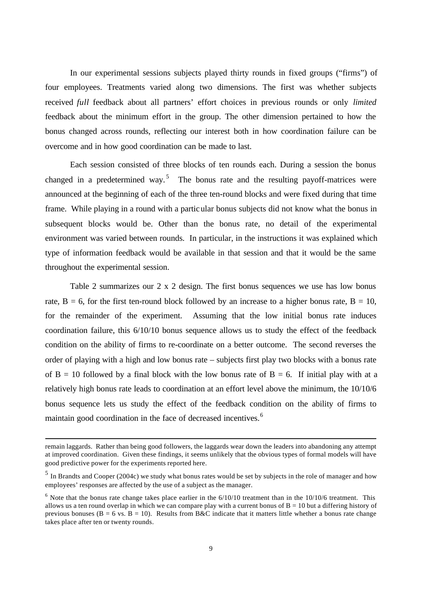In our experimental sessions subjects played thirty rounds in fixed groups ("firms") of four employees. Treatments varied along two dimensions. The first was whether subjects received *full* feedback about all partners' effort choices in previous rounds or only *limited* feedback about the minimum effort in the group. The other dimension pertained to how the bonus changed across rounds, reflecting our interest both in how coordination failure can be overcome and in how good coordination can be made to last.

Each session consisted of three blocks of ten rounds each. During a session the bonus changed in a predetermined way.<sup>5</sup> The bonus rate and the resulting payoff-matrices were announced at the beginning of each of the three ten-round blocks and were fixed during that time frame. While playing in a round with a particular bonus subjects did not know what the bonus in subsequent blocks would be. Other than the bonus rate, no detail of the experimental environment was varied between rounds. In particular, in the instructions it was explained which type of information feedback would be available in that session and that it would be the same throughout the experimental session.

Table 2 summarizes our 2 x 2 design. The first bonus sequences we use has low bonus rate,  $B = 6$ , for the first ten-round block followed by an increase to a higher bonus rate,  $B = 10$ , for the remainder of the experiment. Assuming that the low initial bonus rate induces coordination failure, this 6/10/10 bonus sequence allows us to study the effect of the feedback condition on the ability of firms to re-coordinate on a better outcome. The second reverses the order of playing with a high and low bonus rate – subjects first play two blocks with a bonus rate of  $B = 10$  followed by a final block with the low bonus rate of  $B = 6$ . If initial play with at a relatively high bonus rate leads to coordination at an effort level above the minimum, the 10/10/6 bonus sequence lets us study the effect of the feedback condition on the ability of firms to maintain good coordination in the face of decreased incentives.<sup>6</sup>

remain laggards. Rather than being good followers, the laggards wear down the leaders into abandoning any attempt at improved coordination. Given these findings, it seems unlikely that the obvious types of formal models will have good predictive power for the experiments reported here.

<sup>&</sup>lt;sup>5</sup> In Brandts and Cooper (2004c) we study what bonus rates would be set by subjects in the role of manager and how employees' responses are affected by the use of a subject as the manager.

 $<sup>6</sup>$  Note that the bonus rate change takes place earlier in the  $6/10/10$  treatment than in the  $10/10/6$  treatment. This</sup> allows us a ten round overlap in which we can compare play with a current bonus of  $B = 10$  but a differing history of previous bonuses ( $B = 6$  vs.  $B = 10$ ). Results from B&C indicate that it matters little whether a bonus rate change takes place after ten or twenty rounds.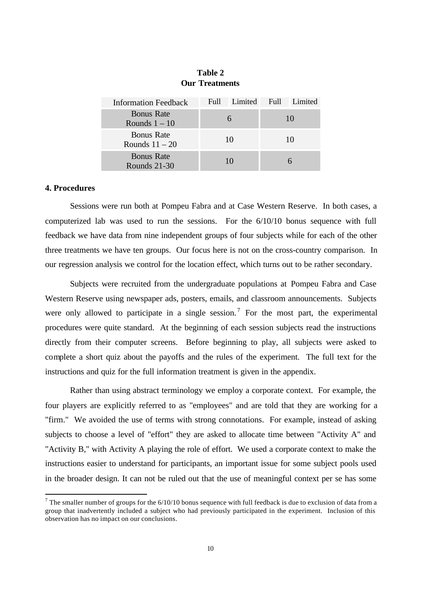| <b>Information Feedback</b>           | Full Limited Full Limited |    |
|---------------------------------------|---------------------------|----|
| <b>Bonus Rate</b><br>Rounds $1 - 10$  |                           | 10 |
| <b>Bonus Rate</b><br>Rounds $11 - 20$ | 10                        | 10 |
| <b>Bonus Rate</b><br>Rounds 21-30     | 10                        |    |

**Table 2 Our Treatments**

## **4. Procedures**

l

Sessions were run both at Pompeu Fabra and at Case Western Reserve. In both cases, a computerized lab was used to run the sessions. For the 6/10/10 bonus sequence with full feedback we have data from nine independent groups of four subjects while for each of the other three treatments we have ten groups. Our focus here is not on the cross-country comparison. In our regression analysis we control for the location effect, which turns out to be rather secondary.

Subjects were recruited from the undergraduate populations at Pompeu Fabra and Case Western Reserve using newspaper ads, posters, emails, and classroom announcements. Subjects were only allowed to participate in a single session.<sup>7</sup> For the most part, the experimental procedures were quite standard. At the beginning of each session subjects read the instructions directly from their computer screens. Before beginning to play, all subjects were asked to complete a short quiz about the payoffs and the rules of the experiment. The full text for the instructions and quiz for the full information treatment is given in the appendix.

Rather than using abstract terminology we employ a corporate context. For example, the four players are explicitly referred to as "employees" and are told that they are working for a "firm." We avoided the use of terms with strong connotations. For example, instead of asking subjects to choose a level of "effort" they are asked to allocate time between "Activity A" and "Activity B," with Activity A playing the role of effort. We used a corporate context to make the instructions easier to understand for participants, an important issue for some subject pools used in the broader design. It can not be ruled out that the use of meaningful context per se has some

<sup>&</sup>lt;sup>7</sup> The smaller number of groups for the  $6/10/10$  bonus sequence with full feedback is due to exclusion of data from a group that inadvertently included a subject who had previously participated in the experiment. Inclusion of this observation has no impact on our conclusions.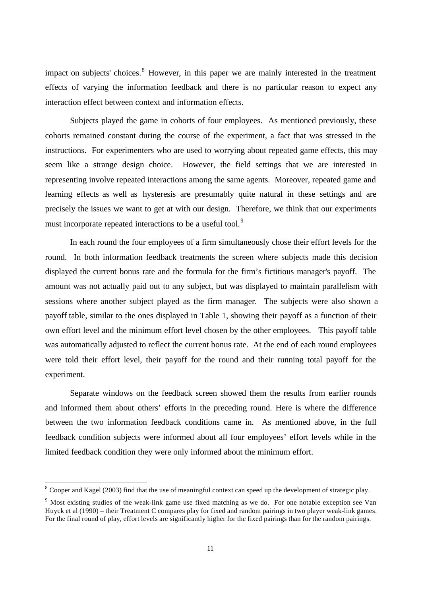impact on subjects' choices. <sup>8</sup> However, in this paper we are mainly interested in the treatment effects of varying the information feedback and there is no particular reason to expect any interaction effect between context and information effects.

Subjects played the game in cohorts of four employees. As mentioned previously, these cohorts remained constant during the course of the experiment, a fact that was stressed in the instructions. For experimenters who are used to worrying about repeated game effects, this may seem like a strange design choice. However, the field settings that we are interested in representing involve repeated interactions among the same agents. Moreover, repeated game and learning effects as well as hysteresis are presumably quite natural in these settings and are precisely the issues we want to get at with our design. Therefore, we think that our experiments must incorporate repeated interactions to be a useful tool.<sup>9</sup>

In each round the four employees of a firm simultaneously chose their effort levels for the round. In both information feedback treatments the screen where subjects made this decision displayed the current bonus rate and the formula for the firm's fictitious manager's payoff. The amount was not actually paid out to any subject, but was displayed to maintain parallelism with sessions where another subject played as the firm manager. The subjects were also shown a payoff table, similar to the ones displayed in Table 1, showing their payoff as a function of their own effort level and the minimum effort level chosen by the other employees. This payoff table was automatically adjusted to reflect the current bonus rate. At the end of each round employees were told their effort level, their payoff for the round and their running total payoff for the experiment.

Separate windows on the feedback screen showed them the results from earlier rounds and informed them about others' efforts in the preceding round. Here is where the difference between the two information feedback conditions came in. As mentioned above, in the full feedback condition subjects were informed about all four employees' effort levels while in the limited feedback condition they were only informed about the minimum effort.

 $8 \text{ Cooper}$  and Kagel (2003) find that the use of meaningful context can speed up the development of strategic play.

<sup>&</sup>lt;sup>9</sup> Most existing studies of the weak-link game use fixed matching as we do. For one notable exception see Van Huyck et al (1990) – their Treatment C compares play for fixed and random pairings in two player weak-link games. For the final round of play, effort levels are significantly higher for the fixed pairings than for the random pairings.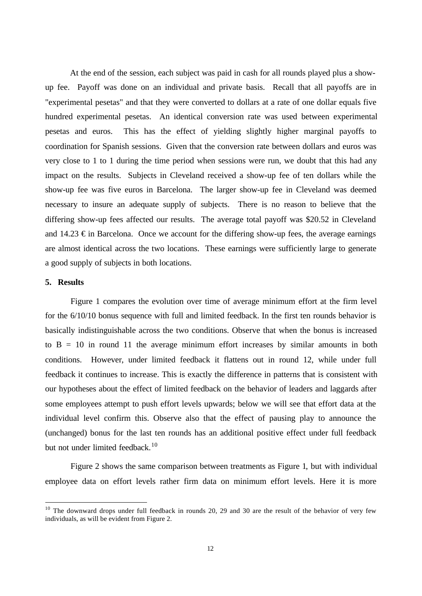At the end of the session, each subject was paid in cash for all rounds played plus a showup fee. Payoff was done on an individual and private basis. Recall that all payoffs are in "experimental pesetas" and that they were converted to dollars at a rate of one dollar equals five hundred experimental pesetas. An identical conversion rate was used between experimental pesetas and euros. This has the effect of yielding slightly higher marginal payoffs to coordination for Spanish sessions. Given that the conversion rate between dollars and euros was very close to 1 to 1 during the time period when sessions were run, we doubt that this had any impact on the results. Subjects in Cleveland received a show-up fee of ten dollars while the show-up fee was five euros in Barcelona. The larger show-up fee in Cleveland was deemed necessary to insure an adequate supply of subjects. There is no reason to believe that the differing show-up fees affected our results. The average total payoff was \$20.52 in Cleveland and 14.23  $\epsilon$  in Barcelona. Once we account for the differing show-up fees, the average earnings are almost identical across the two locations. These earnings were sufficiently large to generate a good supply of subjects in both locations.

# **5. Results**

l

Figure 1 compares the evolution over time of average minimum effort at the firm level for the 6/10/10 bonus sequence with full and limited feedback. In the first ten rounds behavior is basically indistinguishable across the two conditions. Observe that when the bonus is increased to  $B = 10$  in round 11 the average minimum effort increases by similar amounts in both conditions. However, under limited feedback it flattens out in round 12, while under full feedback it continues to increase. This is exactly the difference in patterns that is consistent with our hypotheses about the effect of limited feedback on the behavior of leaders and laggards after some employees attempt to push effort levels upwards; below we will see that effort data at the individual level confirm this. Observe also that the effect of pausing play to announce the (unchanged) bonus for the last ten rounds has an additional positive effect under full feedback but not under limited feedback.<sup>10</sup>

Figure 2 shows the same comparison between treatments as Figure 1, but with individual employee data on effort levels rather firm data on minimum effort levels. Here it is more

<sup>&</sup>lt;sup>10</sup> The downward drops under full feedback in rounds 20, 29 and 30 are the result of the behavior of very few individuals, as will be evident from Figure 2.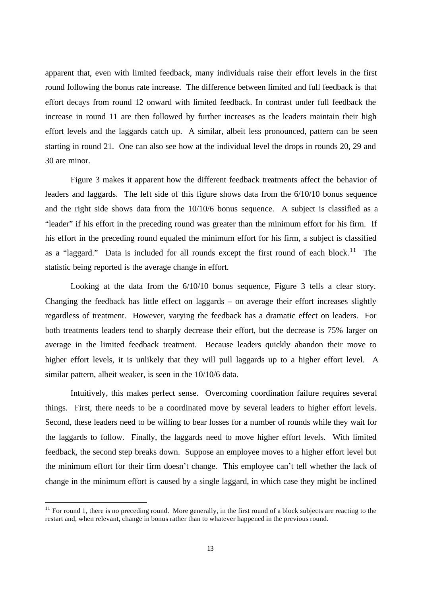apparent that, even with limited feedback, many individuals raise their effort levels in the first round following the bonus rate increase. The difference between limited and full feedback is that effort decays from round 12 onward with limited feedback. In contrast under full feedback the increase in round 11 are then followed by further increases as the leaders maintain their high effort levels and the laggards catch up. A similar, albeit less pronounced, pattern can be seen starting in round 21. One can also see how at the individual level the drops in rounds 20, 29 and 30 are minor.

Figure 3 makes it apparent how the different feedback treatments affect the behavior of leaders and laggards. The left side of this figure shows data from the 6/10/10 bonus sequence and the right side shows data from the 10/10/6 bonus sequence. A subject is classified as a "leader" if his effort in the preceding round was greater than the minimum effort for his firm. If his effort in the preceding round equaled the minimum effort for his firm, a subject is classified as a "laggard." Data is included for all rounds except the first round of each block.<sup>11</sup> The statistic being reported is the average change in effort.

Looking at the data from the 6/10/10 bonus sequence, Figure 3 tells a clear story. Changing the feedback has little effect on laggards – on average their effort increases slightly regardless of treatment. However, varying the feedback has a dramatic effect on leaders. For both treatments leaders tend to sharply decrease their effort, but the decrease is 75% larger on average in the limited feedback treatment. Because leaders quickly abandon their move to higher effort levels, it is unlikely that they will pull laggards up to a higher effort level. A similar pattern, albeit weaker, is seen in the 10/10/6 data.

Intuitively, this makes perfect sense. Overcoming coordination failure requires several things. First, there needs to be a coordinated move by several leaders to higher effort levels. Second, these leaders need to be willing to bear losses for a number of rounds while they wait for the laggards to follow. Finally, the laggards need to move higher effort levels. With limited feedback, the second step breaks down. Suppose an employee moves to a higher effort level but the minimum effort for their firm doesn't change. This employee can't tell whether the lack of change in the minimum effort is caused by a single laggard, in which case they might be inclined

 $11$  For round 1, there is no preceding round. More generally, in the first round of a block subjects are reacting to the restart and, when relevant, change in bonus rather than to whatever happened in the previous round.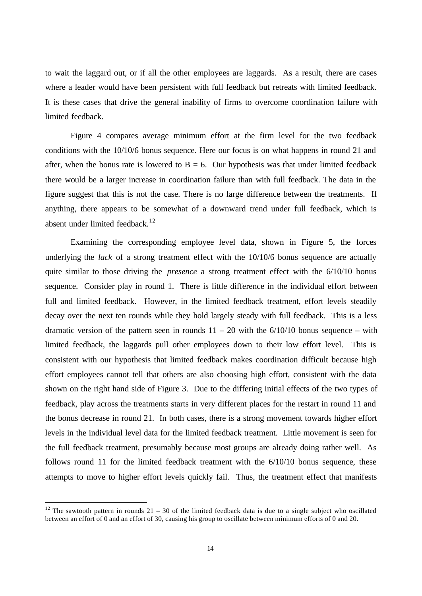to wait the laggard out, or if all the other employees are laggards. As a result, there are cases where a leader would have been persistent with full feedback but retreats with limited feedback. It is these cases that drive the general inability of firms to overcome coordination failure with limited feedback.

Figure 4 compares average minimum effort at the firm level for the two feedback conditions with the 10/10/6 bonus sequence. Here our focus is on what happens in round 21 and after, when the bonus rate is lowered to  $B = 6$ . Our hypothesis was that under limited feedback there would be a larger increase in coordination failure than with full feedback. The data in the figure suggest that this is not the case. There is no large difference between the treatments. If anything, there appears to be somewhat of a downward trend under full feedback, which is absent under limited feedback.<sup>12</sup>

Examining the corresponding employee level data, shown in Figure 5, the forces underlying the *lack* of a strong treatment effect with the 10/10/6 bonus sequence are actually quite similar to those driving the *presence* a strong treatment effect with the 6/10/10 bonus sequence. Consider play in round 1. There is little difference in the individual effort between full and limited feedback. However, in the limited feedback treatment, effort levels steadily decay over the next ten rounds while they hold largely steady with full feedback. This is a less dramatic version of the pattern seen in rounds  $11 - 20$  with the  $6/10/10$  bonus sequence – with limited feedback, the laggards pull other employees down to their low effort level. This is consistent with our hypothesis that limited feedback makes coordination difficult because high effort employees cannot tell that others are also choosing high effort, consistent with the data shown on the right hand side of Figure 3. Due to the differing initial effects of the two types of feedback, play across the treatments starts in very different places for the restart in round 11 and the bonus decrease in round 21. In both cases, there is a strong movement towards higher effort levels in the individual level data for the limited feedback treatment. Little movement is seen for the full feedback treatment, presumably because most groups are already doing rather well. As follows round 11 for the limited feedback treatment with the 6/10/10 bonus sequence, these attempts to move to higher effort levels quickly fail. Thus, the treatment effect that manifests

<sup>&</sup>lt;sup>12</sup> The sawtooth pattern in rounds 21 – 30 of the limited feedback data is due to a single subject who oscillated between an effort of 0 and an effort of 30, causing his group to oscillate between minimum efforts of 0 and 20.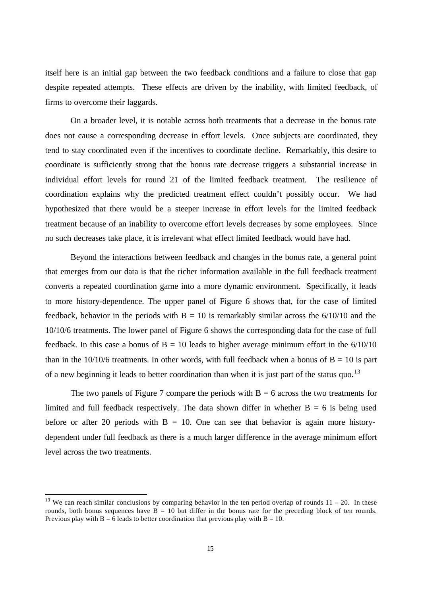itself here is an initial gap between the two feedback conditions and a failure to close that gap despite repeated attempts. These effects are driven by the inability, with limited feedback, of firms to overcome their laggards.

On a broader level, it is notable across both treatments that a decrease in the bonus rate does not cause a corresponding decrease in effort levels. Once subjects are coordinated, they tend to stay coordinated even if the incentives to coordinate decline. Remarkably, this desire to coordinate is sufficiently strong that the bonus rate decrease triggers a substantial increase in individual effort levels for round 21 of the limited feedback treatment. The resilience of coordination explains why the predicted treatment effect couldn't possibly occur. We had hypothesized that there would be a steeper increase in effort levels for the limited feedback treatment because of an inability to overcome effort levels decreases by some employees. Since no such decreases take place, it is irrelevant what effect limited feedback would have had.

Beyond the interactions between feedback and changes in the bonus rate, a general point that emerges from our data is that the richer information available in the full feedback treatment converts a repeated coordination game into a more dynamic environment. Specifically, it leads to more history-dependence. The upper panel of Figure 6 shows that, for the case of limited feedback, behavior in the periods with  $B = 10$  is remarkably similar across the  $6/10/10$  and the 10/10/6 treatments. The lower panel of Figure 6 shows the corresponding data for the case of full feedback. In this case a bonus of  $B = 10$  leads to higher average minimum effort in the  $6/10/10$ than in the  $10/10/6$  treatments. In other words, with full feedback when a bonus of  $B = 10$  is part of a new beginning it leads to better coordination than when it is just part of the status quo.<sup>13</sup>

The two panels of Figure 7 compare the periods with  $B = 6$  across the two treatments for limited and full feedback respectively. The data shown differ in whether  $B = 6$  is being used before or after 20 periods with  $B = 10$ . One can see that behavior is again more historydependent under full feedback as there is a much larger difference in the average minimum effort level across the two treatments.

<sup>&</sup>lt;sup>13</sup> We can reach similar conclusions by comparing behavior in the ten period overlap of rounds  $11 - 20$ . In these rounds, both bonus sequences have  $B = 10$  but differ in the bonus rate for the preceding block of ten rounds. Previous play with  $B = 6$  leads to better coordination that previous play with  $B = 10$ .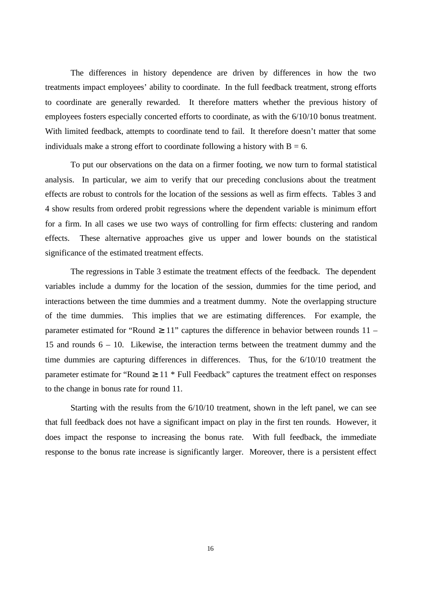The differences in history dependence are driven by differences in how the two treatments impact employees' ability to coordinate. In the full feedback treatment, strong efforts to coordinate are generally rewarded. It therefore matters whether the previous history of employees fosters especially concerted efforts to coordinate, as with the 6/10/10 bonus treatment. With limited feedback, attempts to coordinate tend to fail. It therefore doesn't matter that some individuals make a strong effort to coordinate following a history with  $B = 6$ .

To put our observations on the data on a firmer footing, we now turn to formal statistical analysis. In particular, we aim to verify that our preceding conclusions about the treatment effects are robust to controls for the location of the sessions as well as firm effects. Tables 3 and 4 show results from ordered probit regressions where the dependent variable is minimum effort for a firm. In all cases we use two ways of controlling for firm effects: clustering and random effects. These alternative approaches give us upper and lower bounds on the statistical significance of the estimated treatment effects.

The regressions in Table 3 estimate the treatment effects of the feedback. The dependent variables include a dummy for the location of the session, dummies for the time period, and interactions between the time dummies and a treatment dummy. Note the overlapping structure of the time dummies. This implies that we are estimating differences. For example, the parameter estimated for "Round  $3\,11$ " captures the difference in behavior between rounds  $11 -$ 15 and rounds 6 – 10. Likewise, the interaction terms between the treatment dummy and the time dummies are capturing differences in differences. Thus, for the 6/10/10 treatment the parameter estimate for "Round <sup>3</sup> 11 \* Full Feedback" captures the treatment effect on responses to the change in bonus rate for round 11.

Starting with the results from the 6/10/10 treatment, shown in the left panel, we can see that full feedback does not have a significant impact on play in the first ten rounds. However, it does impact the response to increasing the bonus rate. With full feedback, the immediate response to the bonus rate increase is significantly larger. Moreover, there is a persistent effect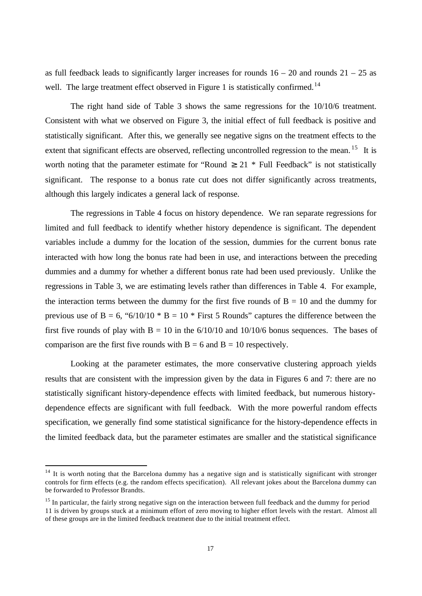as full feedback leads to significantly larger increases for rounds  $16 - 20$  and rounds  $21 - 25$  as well. The large treatment effect observed in Figure 1 is statistically confirmed.<sup>14</sup>

The right hand side of Table 3 shows the same regressions for the 10/10/6 treatment. Consistent with what we observed on Figure 3, the initial effect of full feedback is positive and statistically significant. After this, we generally see negative signs on the treatment effects to the extent that significant effects are observed, reflecting uncontrolled regression to the mean.<sup>15</sup> It is worth noting that the parameter estimate for "Round  $3 \times 21$  \* Full Feedback" is not statistically significant. The response to a bonus rate cut does not differ significantly across treatments, although this largely indicates a general lack of response.

The regressions in Table 4 focus on history dependence. We ran separate regressions for limited and full feedback to identify whether history dependence is significant. The dependent variables include a dummy for the location of the session, dummies for the current bonus rate interacted with how long the bonus rate had been in use, and interactions between the preceding dummies and a dummy for whether a different bonus rate had been used previously. Unlike the regressions in Table 3, we are estimating levels rather than differences in Table 4. For example, the interaction terms between the dummy for the first five rounds of  $B = 10$  and the dummy for previous use of B = 6, "6/10/10  $*$  B = 10  $*$  First 5 Rounds" captures the difference between the first five rounds of play with  $B = 10$  in the  $6/10/10$  and  $10/10/6$  bonus sequences. The bases of comparison are the first five rounds with  $B = 6$  and  $B = 10$  respectively.

Looking at the parameter estimates, the more conservative clustering approach yields results that are consistent with the impression given by the data in Figures 6 and 7: there are no statistically significant history-dependence effects with limited feedback, but numerous historydependence effects are significant with full feedback. With the more powerful random effects specification, we generally find some statistical significance for the history-dependence effects in the limited feedback data, but the parameter estimates are smaller and the statistical significance

 $14$  It is worth noting that the Barcelona dummy has a negative sign and is statistically significant with stronger controls for firm effects (e.g. the random effects specification). All relevant jokes about the Barcelona dummy can be forwarded to Professor Brandts.

<sup>&</sup>lt;sup>15</sup> In particular, the fairly strong negative sign on the interaction between full feedback and the dummy for period 11 is driven by groups stuck at a minimum effort of zero moving to higher effort levels with the restart. Almost all of these groups are in the limited feedback treatment due to the initial treatment effect.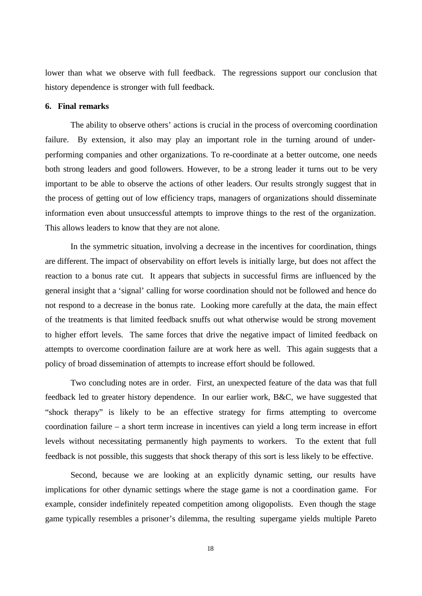lower than what we observe with full feedback. The regressions support our conclusion that history dependence is stronger with full feedback.

# **6. Final remarks**

The ability to observe others' actions is crucial in the process of overcoming coordination failure. By extension, it also may play an important role in the turning around of underperforming companies and other organizations. To re-coordinate at a better outcome, one needs both strong leaders and good followers. However, to be a strong leader it turns out to be very important to be able to observe the actions of other leaders. Our results strongly suggest that in the process of getting out of low efficiency traps, managers of organizations should disseminate information even about unsuccessful attempts to improve things to the rest of the organization. This allows leaders to know that they are not alone.

In the symmetric situation, involving a decrease in the incentives for coordination, things are different. The impact of observability on effort levels is initially large, but does not affect the reaction to a bonus rate cut. It appears that subjects in successful firms are influenced by the general insight that a 'signal' calling for worse coordination should not be followed and hence do not respond to a decrease in the bonus rate. Looking more carefully at the data, the main effect of the treatments is that limited feedback snuffs out what otherwise would be strong movement to higher effort levels. The same forces that drive the negative impact of limited feedback on attempts to overcome coordination failure are at work here as well. This again suggests that a policy of broad dissemination of attempts to increase effort should be followed.

Two concluding notes are in order. First, an unexpected feature of the data was that full feedback led to greater history dependence. In our earlier work, B&C, we have suggested that "shock therapy" is likely to be an effective strategy for firms attempting to overcome coordination failure – a short term increase in incentives can yield a long term increase in effort levels without necessitating permanently high payments to workers. To the extent that full feedback is not possible, this suggests that shock therapy of this sort is less likely to be effective.

Second, because we are looking at an explicitly dynamic setting, our results have implications for other dynamic settings where the stage game is not a coordination game. For example, consider indefinitely repeated competition among oligopolists. Even though the stage game typically resembles a prisoner's dilemma, the resulting supergame yields multiple Pareto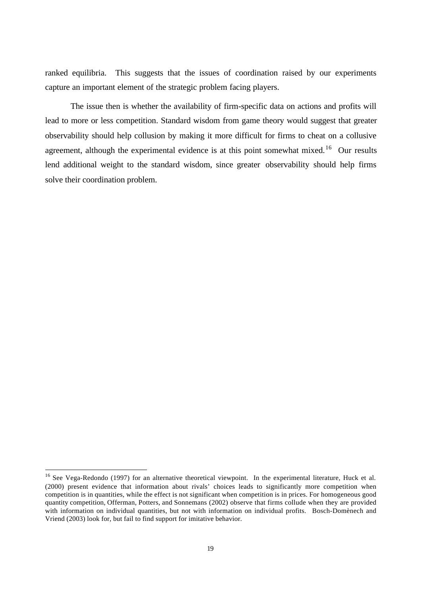ranked equilibria. This suggests that the issues of coordination raised by our experiments capture an important element of the strategic problem facing players.

The issue then is whether the availability of firm-specific data on actions and profits will lead to more or less competition. Standard wisdom from game theory would suggest that greater observability should help collusion by making it more difficult for firms to cheat on a collusive agreement, although the experimental evidence is at this point somewhat mixed.<sup>16</sup> Our results lend additional weight to the standard wisdom, since greater observability should help firms solve their coordination problem.

<sup>&</sup>lt;sup>16</sup> See Vega-Redondo (1997) for an alternative theoretical viewpoint. In the experimental literature, Huck et al. (2000) present evidence that information about rivals' choices leads to significantly more competition when competition is in quantities, while the effect is not significant when competition is in prices. For homogeneous good quantity competition, Offerman, Potters, and Sonnemans (2002) observe that firms collude when they are provided with information on individual quantities, but not with information on individual profits. Bosch-Domènech and Vriend (2003) look for, but fail to find support for imitative behavior.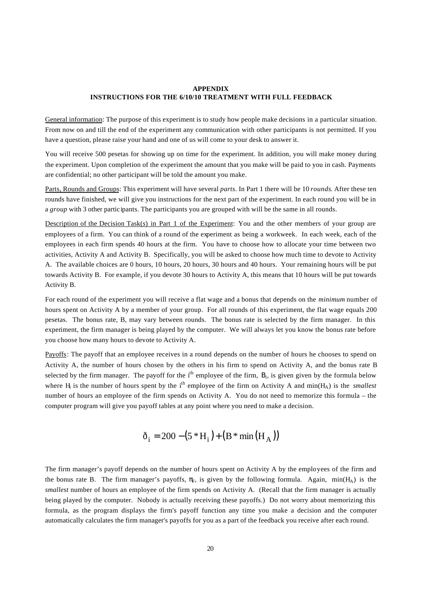## **APPENDIX INSTRUCTIONS FOR THE 6/10/10 TREATMENT WITH FULL FEEDBACK**

General information: The purpose of this experiment is to study how people make decisions in a particular situation. From now on and till the end of the experiment any communication with other participants is not permitted. If you have a question, please raise your hand and one of us will come to your desk to answer it.

You will receive 500 pesetas for showing up on time for the experiment. In addition, you will make money during the experiment. Upon completion of the experiment the amount that you make will be paid to you in cash. Payments are confidential; no other participant will be told the amount you make.

Parts, Rounds and Groups: This experiment will have several *parts*. In Part 1 there will be 10 *rounds*. After these ten rounds have finished, we will give you instructions for the next part of the experiment. In each round you will be in a *group* with 3 other participants. The participants you are grouped with will be the same in all rounds.

Description of the Decision Task(s) in Part 1 of the Experiment: You and the other members of your group are employees of a firm. You can think of a round of the experiment as being a workweek. In each week, each of the employees in each firm spends 40 hours at the firm. You have to choose how to allocate your time between two activities, Activity A and Activity B. Specifically, you will be asked to choose how much time to devote to Activity A. The available choices are 0 hours, 10 hours, 20 hours, 30 hours and 40 hours. Your remaining hours will be put towards Activity B. For example, if you devote 30 hours to Activity A, this means that 10 hours will be put towards Activity B.

For each round of the experiment you will receive a flat wage and a bonus that depends on the *minimum* number of hours spent on Activity A by a member of your group. For all rounds of this experiment, the flat wage equals 200 pesetas. The bonus rate, B, may vary between rounds. The bonus rate is selected by the firm manager. In this experiment, the firm manager is being played by the computer. We will always let you know the bonus rate before you choose how many hours to devote to Activity A.

Payoffs: The payoff that an employee receives in a round depends on the number of hours he chooses to spend on Activity A, the number of hours chosen by the others in his firm to spend on Activity A, and the bonus rate B selected by the firm manager. The payoff for the  $i<sup>th</sup>$  employee of the firm,  $B_i$ , is given given by the formula below where H<sub>i</sub> is the number of hours spent by the i<sup>th</sup> employee of the firm on Activity A and min(H<sub>A</sub>) is the *smallest* number of hours an employee of the firm spends on Activity A. You do not need to memorize this formula – the computer program will give you payoff tables at any point where you need to make a decision.

$$
\delta_{i} = 200 - (5 * H_{i}) + (B * min(H_{A}))
$$

The firm manager's payoff depends on the number of hours spent on Activity A by the employees of the firm and the bonus rate B. The firm manager's payoffs,  $\pi_F$ , is given by the following formula. Again, min(H<sub>A</sub>) is the *smallest* number of hours an employee of the firm spends on Activity A. (Recall that the firm manager is actually being played by the computer. Nobody is actually receiving these payoffs.) Do not worry about memorizing this formula, as the program displays the firm's payoff function any time you make a decision and the computer automatically calculates the firm manager's payoffs for you as a part of the feedback you receive after each round.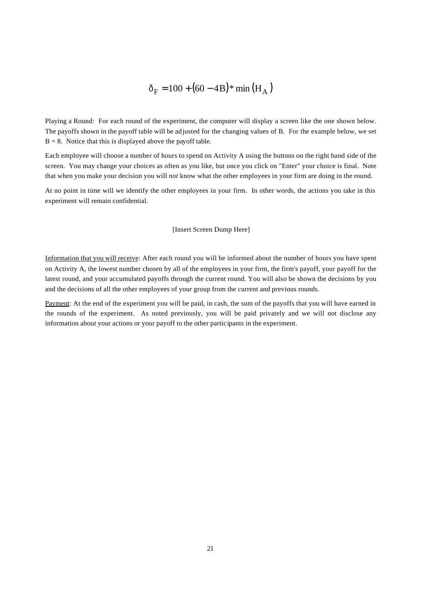# $\delta_F = 100 + (60 - 4B)$ \* min  $(H_A)$

Playing a Round: For each round of the experiment, the computer will display a screen like the one shown below. The payoffs shown in the payoff table will be adjusted for the changing values of B. For the example below, we set  $B = 8$ . Notice that this is displayed above the payoff table.

Each employee will choose a number of hours to spend on Activity A using the buttons on the right hand side of the screen. You may change your choices as often as you like, but once you click on "Enter" your choice is final. Note that when you make your decision you will *not* know what the other employees in your firm are doing in the round.

At no point in time will we identify the other employees in your firm. In other words, the actions you take in this experiment will remain confidential.

### [Insert Screen Dump Here]

Information that you will receive: After each round you will be informed about the number of hours you have spent on Activity A, the lowest number chosen by all of the employees in your firm, the firm's payoff, your payoff for the latest round, and your accumulated payoffs through the current round. You will also be shown the decisions by you and the decisions of all the other employees of your group from the current and previous rounds.

Payment: At the end of the experiment you will be paid, in cash, the sum of the payoffs that you will have earned in the rounds of the experiment. As noted previously, you will be paid privately and we will not disclose any information about your actions or your payoff to the other participants in the experiment.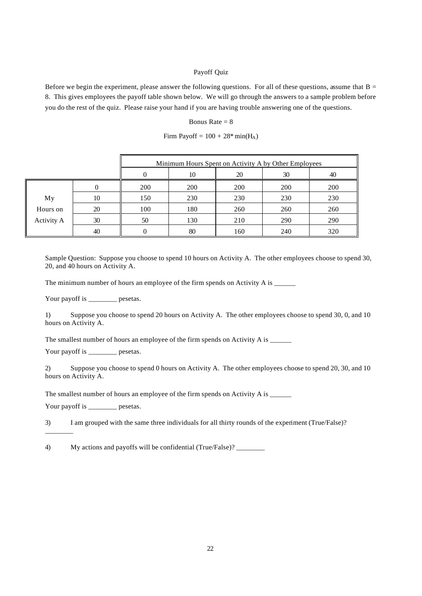## Payoff Quiz

Before we begin the experiment, please answer the following questions. For all of these questions, assume that  $B =$ 8. This gives employees the payoff table shown below. We will go through the answers to a sample problem before you do the rest of the quiz. Please raise your hand if you are having trouble answering one of the questions.

## Bonus Rate  $= 8$

|  |  |  |  | Firm Payoff = $100 + 28$ <sup>*</sup> min(H <sub>A</sub> ) |
|--|--|--|--|------------------------------------------------------------|
|--|--|--|--|------------------------------------------------------------|

|                   |    | Minimum Hours Spent on Activity A by Other Employees |                      |     |     |     |  |  |
|-------------------|----|------------------------------------------------------|----------------------|-----|-----|-----|--|--|
|                   |    |                                                      | 20<br>30<br>10<br>40 |     |     |     |  |  |
|                   |    | 200                                                  | 200                  | 200 | 200 | 200 |  |  |
| My                | 10 | 150                                                  | 230                  | 230 | 230 | 230 |  |  |
| Hours on          | 20 | 100                                                  | 180                  | 260 | 260 | 260 |  |  |
| <b>Activity A</b> | 30 | 50                                                   | 130                  | 210 | 290 | 290 |  |  |
|                   | 40 |                                                      | 80                   | 160 | 240 | 320 |  |  |

Sample Question: Suppose you choose to spend 10 hours on Activity A. The other employees choose to spend 30, 20, and 40 hours on Activity A.

The minimum number of hours an employee of the firm spends on Activity A is  $\frac{1}{\sqrt{2\pi}}$ 

Your payoff is \_\_\_\_\_\_\_\_ pesetas.

1) Suppose you choose to spend 20 hours on Activity A. The other employees choose to spend 30, 0, and 10 hours on Activity A.

The smallest number of hours an employee of the firm spends on Activity A is \_\_\_\_\_\_

Your payoff is \_\_\_\_\_\_\_\_ pesetas.

2) Suppose you choose to spend 0 hours on Activity A. The other employees choose to spend 20, 30, and 10 hours on Activity A.

The smallest number of hours an employee of the firm spends on Activity A is \_\_\_\_\_

Your payoff is \_\_\_\_\_\_\_ pesetas.

\_\_\_\_\_\_\_\_

3) I am grouped with the same three individuals for all thirty rounds of the experiment (True/False)?

4) My actions and payoffs will be confidential (True/False)? \_\_\_\_\_\_\_\_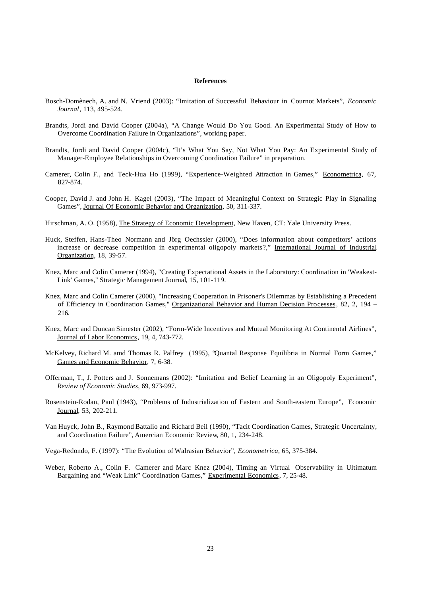#### **References**

- Bosch-Domènech, A. and N. Vriend (2003): "Imitation of Successful Behaviour in Cournot Markets", *Economic Journal*, 113, 495-524.
- Brandts, Jordi and David Cooper (2004a), "A Change Would Do You Good. An Experimental Study of How to Overcome Coordination Failure in Organizations", working paper.
- Brandts, Jordi and David Cooper (2004c), "It's What You Say, Not What You Pay: An Experimental Study of Manager-Employee Relationships in Overcoming Coordination Failure" in preparation.
- Camerer, Colin F., and Teck-Hua Ho (1999), "Experience-Weighted Attraction in Games," Econometrica, 67, 827-874.
- Cooper, David J. and John H. Kagel (2003), "The Impact of Meaningful Context on Strategic Play in Signaling Games", Journal Of Economic Behavior and Organization, 50, 311-337.

Hirschman, A. O. (1958), The Strategy of Economic Development, New Haven, CT: Yale University Press.

- Huck, Steffen, Hans-Theo Normann and Jörg Oechssler (2000), "Does information about competitors' actions increase or decrease competition in experimental oligopoly markets?," International Journal of Industrial Organization, 18, 39-57.
- Knez, Marc and Colin Camerer (1994), "Creating Expectational Assets in the Laboratory: Coordination in 'Weakest-Link' Games," Strategic Management Journal, 15, 101-119.
- Knez, Marc and Colin Camerer (2000), "Increasing Cooperation in Prisoner's Dilemmas by Establishing a Precedent of Efficiency in Coordination Games," Organizational Behavior and Human Decision Processes, 82, 2, 194 – 216.
- Knez, Marc and Duncan Simester (2002), "Form-Wide Incentives and Mutual Monitoring At Continental Airlines", Journal of Labor Economics, 19, 4, 743-772.
- McKelvey, Richard M. amd Thomas R. Palfrey (1995), "Quantal Response Equilibria in Normal Form Games," Games and Economic Behavior, 7, 6-38.
- Offerman, T., J. Potters and J. Sonnemans (2002): "Imitation and Belief Learning in an Oligopoly Experiment", *Review of Economic Studies*, 69, 973-997.
- Rosenstein-Rodan, Paul (1943), "Problems of Industrialization of Eastern and South-eastern Europe", Economic Journal, 53, 202-211.
- Van Huyck, John B., Raymond Battalio and Richard Beil (1990), "Tacit Coordination Games, Strategic Uncertainty, and Coordination Failure", Amercian Economic Review, 80, 1, 234-248.
- Vega-Redondo, F. (1997): "The Evolution of Walrasian Behavior", *Econometrica*, 65, 375-384.
- Weber, Roberto A., Colin F. Camerer and Marc Knez (2004), Timing an Virtual Observability in Ultimatum Bargaining and "Weak Link" Coordination Games," Experimental Economics, 7, 25-48.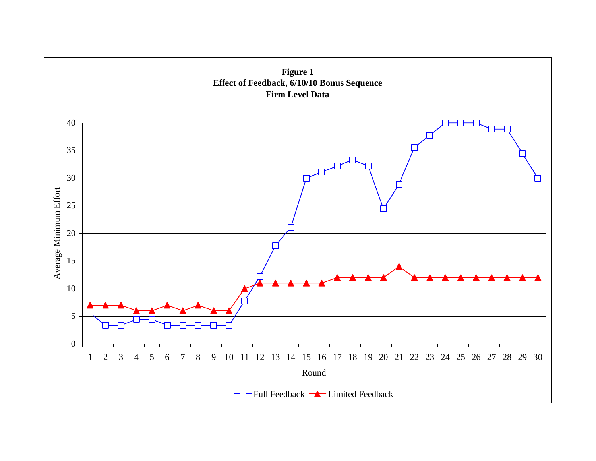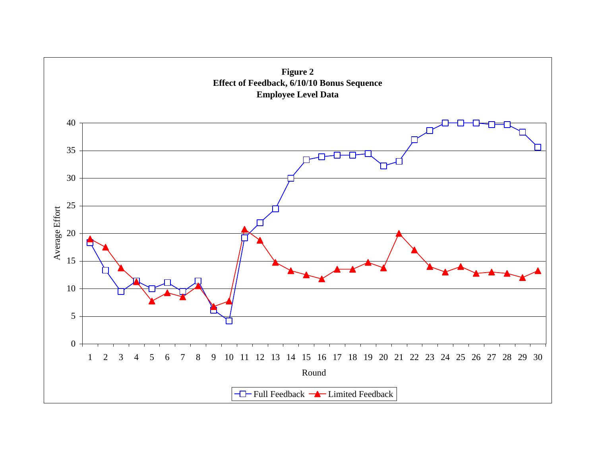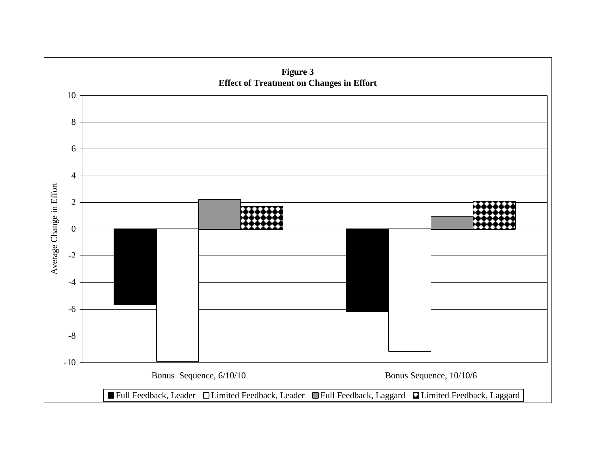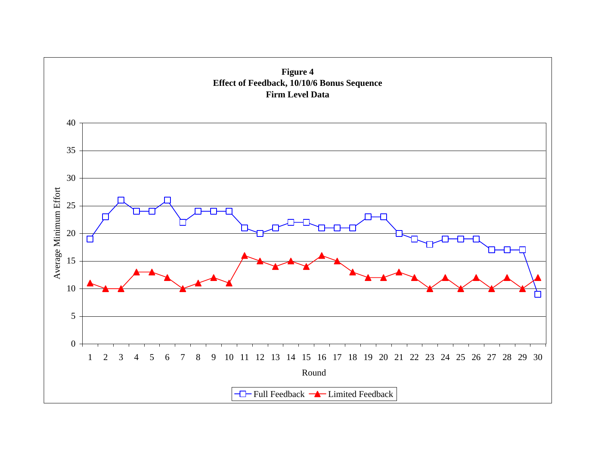![](_page_26_Figure_0.jpeg)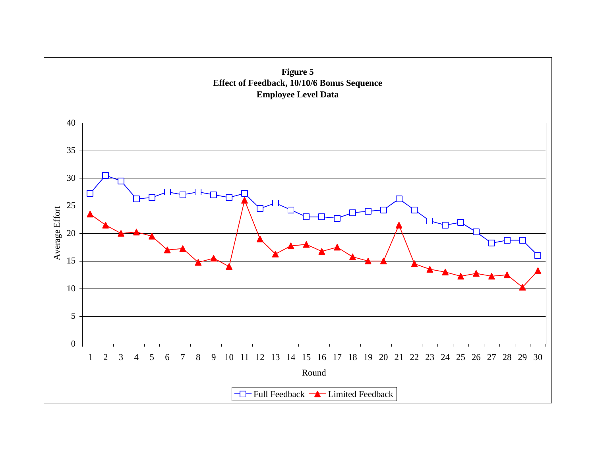![](_page_27_Figure_0.jpeg)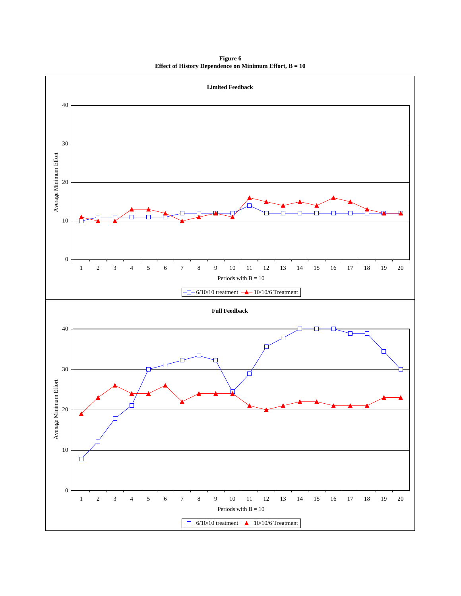**Figure 6 Effect of History Dependence on Minimum Effort, B = 10**

![](_page_28_Figure_1.jpeg)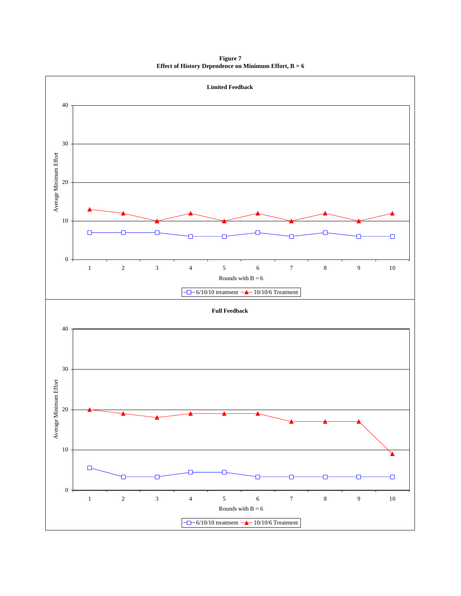**Figure 7 Effect of History Dependence on Minimum Effort, B = 6**

![](_page_29_Figure_1.jpeg)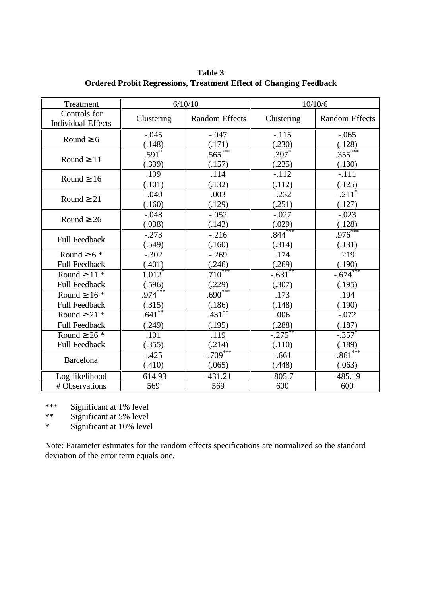| Treatment                                 | 6/10/10                       |                       | 10/10/6             |                                |  |
|-------------------------------------------|-------------------------------|-----------------------|---------------------|--------------------------------|--|
| Controls for<br><b>Individual Effects</b> | Clustering                    | Random Effects        | Clustering          | <b>Random Effects</b>          |  |
| Round $36$                                | $-.045$<br>(.148)             | $-.047$<br>(.171)     | $-.115$<br>(.230)   | $-.065$<br>(.128)              |  |
| Round <sup>3</sup> 11                     | $.591$ <sup>*</sup><br>(.339) | $.565***$<br>(.157)   | $.397*$<br>(.235)   | $.355***$<br>(.130)            |  |
| Round $316$                               | .109<br>(.101)                | .114<br>(.132)        | $-.112$<br>(.112)   | $-.111$<br>(.125)              |  |
| Round $321$                               | $-.040$<br>(.160)             | .003<br>(.129)        | $-.232$<br>(.251)   | $-.211$ <sup>*</sup><br>(.127) |  |
| Round $326$                               | $-.048$<br>(.038)             | $-.052$<br>(.143)     | $-.027$<br>(.029)   | $-.023$<br>(.128)              |  |
| <b>Full Feedback</b>                      | $-.273$<br>(.549)             | $-.216$<br>(.160)     | $.844***$<br>(.314) | $.976***$<br>(.131)            |  |
| Round $36*$                               | $-.302$                       | $-.269$               | .174                | .219                           |  |
| <b>Full Feedback</b>                      | (.401)                        | (.246)                | (.269)              | (.190)                         |  |
| Round $3$ 11 $*$                          | $1.012$ <sup>*</sup>          | $.710***$             | $-.631$ **          | $-.674***$                     |  |
| <b>Full Feedback</b>                      | (.596)                        | (.229)                | (.307)              | (.195)                         |  |
| Round $316*$                              | $.974***$                     | $.690***$             | .173                | .194                           |  |
| <b>Full Feedback</b>                      | (.315)                        | (.186)                | (.148)              | (.190)                         |  |
| Round $321$ *                             | $.641$ **                     | $.431***$             | .006                | $-.072$                        |  |
| <b>Full Feedback</b>                      | (.249)                        | (.195)                | (.288)              | (.187)                         |  |
| Round $326*$                              | .101                          | .119                  | $-.275$ **          | $-.357$                        |  |
| <b>Full Feedback</b>                      | (.355)                        | (.214)                | (.110)              | (.189)                         |  |
| <b>Barcelona</b>                          | $-.425$<br>(.410)             | $-0.709***$<br>(.065) | $-.661$<br>(.448)   | $-.861***$<br>(.063)           |  |
| Log-likelihood                            | $-614.93$                     | $-431.21$             | $-805.7$            | $-485.19$                      |  |
| # Observations                            | 569                           | 569                   | 600                 | 600                            |  |

**Table 3 Ordered Probit Regressions, Treatment Effect of Changing Feedback**

\*\*\* Significant at 1% level<br>\*\* Significant at 5% level

Significant at 5% level

\* Significant at 10% level

Note: Parameter estimates for the random effects specifications are normalized so the standard deviation of the error term equals one.